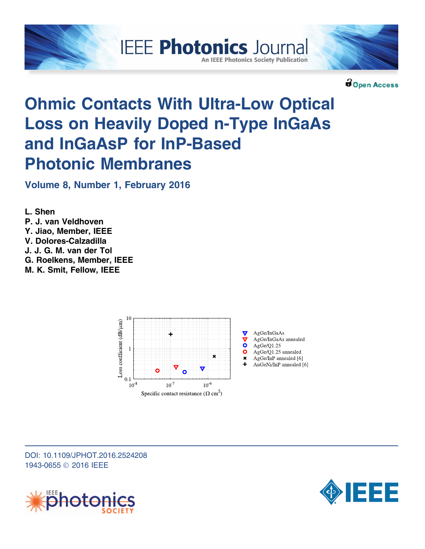



**Bopen Access** 

# Ohmic Contacts With Ultra-Low Optical Loss on Heavily Doped n-Type InGaAs and InGaAsP for InP-Based Photonic Membranes

**IEEE Photonics Journal** 

**An IEEE Photonics Society Publication** 

Volume 8, Number 1, February 2016

L. Shen P. J. van Veldhoven Y. Jiao, Member, IEEE V. Dolores-Calzadilla J. J. G. M. van der Tol G. Roelkens, Member, IEEE M. K. Smit, Fellow, IEEE



DOI: 10.1109/JPHOT.2016.2524208 1943-0655 © 2016 IEEE



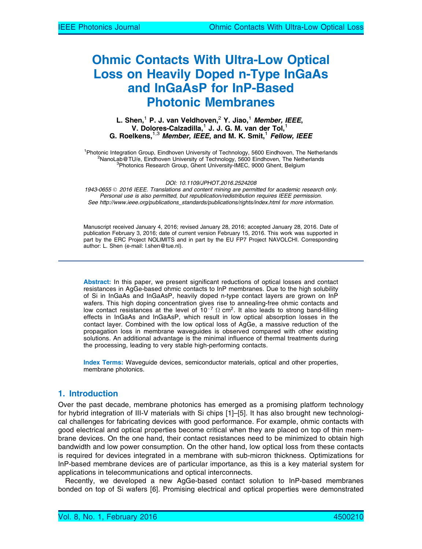## Ohmic Contacts With Ultra-Low Optical Loss on Heavily Doped n-Type InGaAs and InGaAsP for InP-Based Photonic Membranes

L. Shen,<sup>1</sup> P. J. van Veldhoven,<sup>2</sup> Y. Jiao,<sup>1</sup> Member, IEEE, V. Dolores-Calzadilla,<sup>1</sup> J. J. G. M. van der Tol,<sup>1</sup> G. Roelkens,<sup>1,3</sup> Member, IEEE, and M. K. Smit,<sup>1</sup> Fellow, IEEE

<sup>1</sup> Photonic Integration Group, Eindhoven University of Technology, 5600 Eindhoven, The Netherlands<br><sup>2</sup>Napol ab@THe Eindhoven University of Technology, 5600 Eindhoven, The Netherlands  ${}^{2}$ NanoLab@TU/e, Eindhoven University of Technology, 5600 Eindhoven, The Netherlands <sup>3</sup>Photonics Research Group, Ghent University-IMEC, 9000 Ghent, Belgium

DOI: 10.1109/JPHOT.2016.2524208

1943-0655 © 2016 IEEE. Translations and content mining are permitted for academic research only. Personal use is also permitted, but republication/redistribution requires IEEE permission. See http://www.ieee.org/publications\_standards/publications/rights/index.html for more information.

Manuscript received January 4, 2016; revised January 28, 2016; accepted January 28, 2016. Date of publication February 3, 2016; date of current version February 15, 2016. This work was supported in part by the ERC Project NOLIMITS and in part by the EU FP7 Project NAVOLCHI. Corresponding author: L. Shen (e-mail: [l.shen@tue.nl\)](mailto:l.shen@tue.nl).

Abstract: In this paper, we present significant reductions of optical losses and contact resistances in AgGe-based ohmic contacts to InP membranes. Due to the high solubility of Si in InGaAs and InGaAsP, heavily doped n-type contact layers are grown on InP wafers. This high doping concentration gives rise to annealing-free ohmic contacts and low contact resistances at the level of  $10^{-7}$   $\Omega$  cm<sup>2</sup>. It also leads to strong band-filling effects in InGaAs and InGaAsP, which result in low optical absorption losses in the contact layer. Combined with the low optical loss of AgGe, a massive reduction of the propagation loss in membrane waveguides is observed compared with other existing solutions. An additional advantage is the minimal influence of thermal treatments during the processing, leading to very stable high-performing contacts.

Index Terms: Waveguide devices, semiconductor materials, optical and other properties, membrane photonics.

#### 1. Introduction

Over the past decade, membrane photonics has emerged as a promising platform technology for hybrid integration of III-V materials with Si chips [1]–[5]. It has also brought new technological challenges for fabricating devices with good performance. For example, ohmic contacts with good electrical and optical properties become critical when they are placed on top of thin membrane devices. On the one hand, their contact resistances need to be minimized to obtain high bandwidth and low power consumption. On the other hand, low optical loss from these contacts is required for devices integrated in a membrane with sub-micron thickness. Optimizations for InP-based membrane devices are of particular importance, as this is a key material system for applications in telecommunications and optical interconnects.

Recently, we developed a new AgGe-based contact solution to InP-based membranes bonded on top of Si wafers [6]. Promising electrical and optical properties were demonstrated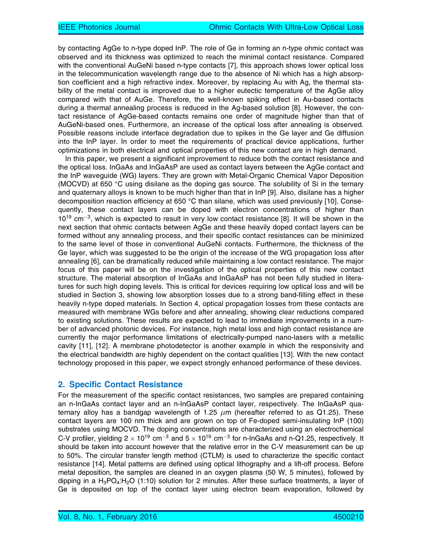by contacting AgGe to n-type doped InP. The role of Ge in forming an n-type ohmic contact was observed and its thickness was optimized to reach the minimal contact resistance. Compared with the conventional AuGeNi based n-type contacts [7], this approach shows lower optical loss in the telecommunication wavelength range due to the absence of Ni which has a high absorption coefficient and a high refractive index. Moreover, by replacing Au with Ag, the thermal stability of the metal contact is improved due to a higher eutectic temperature of the AgGe alloy compared with that of AuGe. Therefore, the well-known spiking effect in Au-based contacts during a thermal annealing process is reduced in the Ag-based solution [8]. However, the contact resistance of AgGe-based contacts remains one order of magnitude higher than that of AuGeNi-based ones. Furthermore, an increase of the optical loss after annealing is observed. Possible reasons include interface degradation due to spikes in the Ge layer and Ge diffusion into the InP layer. In order to meet the requirements of practical device applications, further optimizations in both electrical and optical properties of this new contact are in high demand.

In this paper, we present a significant improvement to reduce both the contact resistance and the optical loss. InGaAs and InGaAsP are used as contact layers between the AgGe contact and the InP waveguide (WG) layers. They are grown with Metal-Organic Chemical Vapor Deposition (MOCVD) at 650 °C using disilane as the doping gas source. The solubility of Si in the ternary and quaternary alloys is known to be much higher than that in InP [9]. Also, disilane has a higher decomposition reaction efficiency at 650 °C than silane, which was used previously [10]. Consequently, these contact layers can be doped with electron concentrations of higher than  $10^{19}$  cm<sup>-3</sup>, which is expected to result in very low contact resistance [8]. It will be shown in the next section that ohmic contacts between AgGe and these heavily doped contact layers can be formed without any annealing process, and their specific contact resistances can be minimized to the same level of those in conventional AuGeNi contacts. Furthermore, the thickness of the Ge layer, which was suggested to be the origin of the increase of the WG propagation loss after annealing [6], can be dramatically reduced while maintaining a low contact resistance. The major focus of this paper will be on the investigation of the optical properties of this new contact structure. The material absorption of InGaAs and InGaAsP has not been fully studied in literatures for such high doping levels. This is critical for devices requiring low optical loss and will be studied in Section 3, showing low absorption losses due to a strong band-filling effect in these heavily n-type doped materials. In Section 4, optical propagation losses from these contacts are measured with membrane WGs before and after annealing, showing clear reductions compared to existing solutions. These results are expected to lead to immediate improvements in a number of advanced photonic devices. For instance, high metal loss and high contact resistance are currently the major performance limitations of electrically-pumped nano-lasers with a metallic cavity [11], [12]. A membrane photodetector is another example in which the responsivity and the electrical bandwidth are highly dependent on the contact qualities [13]. With the new contact technology proposed in this paper, we expect strongly enhanced performance of these devices.

### 2. Specific Contact Resistance

For the measurement of the specific contact resistances, two samples are prepared containing an n-InGaAs contact layer and an n-InGaAsP contact layer, respectively. The InGaAsP quaternary alloy has a bandgap wavelength of 1.25  $\mu$ m (hereafter referred to as Q1.25). These contact layers are 100 nm thick and are grown on top of Fe-doped semi-insulating InP (100) substrates using MOCVD. The doping concentrations are characterized using an electrochemical C-V profiler, yielding  $2 \times 10^{19}$  cm<sup>-3</sup> and  $5 \times 10^{19}$  cm<sup>-3</sup> for n-InGaAs and n-Q1.25, respectively. It should be taken into account however that the relative error in the C-V measurement can be up to 50%. The circular transfer length method (CTLM) is used to characterize the specific contact resistance [14]. Metal patterns are defined using optical lithography and a lift-off process. Before metal deposition, the samples are cleaned in an oxygen plasma (50 W, 5 minutes), followed by dipping in a  $H_3PQ_4:H_2O$  (1:10) solution for 2 minutes. After these surface treatments, a layer of Ge is deposited on top of the contact layer using electron beam evaporation, followed by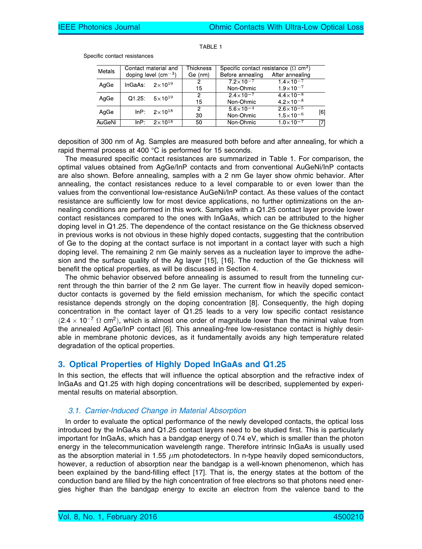| Metals | Contact material and<br>doping level $\text{(cm}^{-3})$ |                    | Thickness<br>Ge (nm) | Specific contact resistance ( $\Omega$ cm <sup>2</sup> )<br>After annealing<br>Before annealing |                      |     |
|--------|---------------------------------------------------------|--------------------|----------------------|-------------------------------------------------------------------------------------------------|----------------------|-----|
|        |                                                         |                    |                      |                                                                                                 |                      |     |
| AgGe   | InGaAs:                                                 | $2 \times 10^{19}$ | 2                    | $7.2 \times 10^{-7}$                                                                            | $1.4 \times 10^{-7}$ |     |
|        |                                                         |                    | 15                   | Non-Ohmic                                                                                       | $1.9\times10^{-7}$   |     |
| AgGe   | Q1.25:                                                  | $5 \times 10^{19}$ | 2                    | $2.4 \times 10^{-7}$                                                                            | $4.4 \times 10^{-8}$ |     |
|        |                                                         |                    | 15                   | Non-Ohmic                                                                                       | $4.2 \times 10^{-8}$ |     |
| AgGe   | InP:                                                    | $2 \times 10^{18}$ | 2                    | $5.6 \times 10^{-4}$                                                                            | $2.6 \times 10^{-5}$ | [6] |
|        |                                                         |                    | 30                   | Non-Ohmic                                                                                       | $1.5 \times 10^{-6}$ |     |
| AuGeNi | InP:                                                    | $2 \times 10^{18}$ | 50                   | Non-Ohmic                                                                                       | $1.0\times10^{-7}$   | [7] |

#### TABLE 1

Specific contact resistances

deposition of 300 nm of Ag. Samples are measured both before and after annealing, for which a rapid thermal process at 400 °C is performed for 15 seconds.

The measured specific contact resistances are summarized in Table 1. For comparison, the optimal values obtained from AgGe/InP contacts and from conventional AuGeNi/InP contacts are also shown. Before annealing, samples with a 2 nm Ge layer show ohmic behavior. After annealing, the contact resistances reduce to a level comparable to or even lower than the values from the conventional low-resistance AuGeNi/InP contact. As these values of the contact resistance are sufficiently low for most device applications, no further optimizations on the annealing conditions are performed in this work. Samples with a Q1.25 contact layer provide lower contact resistances compared to the ones with InGaAs, which can be attributed to the higher doping level in Q1.25. The dependence of the contact resistance on the Ge thickness observed in previous works is not obvious in these highly doped contacts, suggesting that the contribution of Ge to the doping at the contact surface is not important in a contact layer with such a high doping level. The remaining 2 nm Ge mainly serves as a nucleation layer to improve the adhesion and the surface quality of the Ag layer [15], [16]. The reduction of the Ge thickness will benefit the optical properties, as will be discussed in Section 4.

The ohmic behavior observed before annealing is assumed to result from the tunneling current through the thin barrier of the 2 nm Ge layer. The current flow in heavily doped semiconductor contacts is governed by the field emission mechanism, for which the specific contact resistance depends strongly on the doping concentration [8]. Consequently, the high doping concentration in the contact layer of Q1.25 leads to a very low specific contact resistance  $(2.4 \times 10^{-7} \Omega \text{ cm}^2)$ , which is almost one order of magnitude lower than the minimal value from the annealed AgGe/InP contact [6]. This annealing-free low-resistance contact is highly desirable in membrane photonic devices, as it fundamentally avoids any high temperature related degradation of the optical properties.

#### 3. Optical Properties of Highly Doped InGaAs and Q1.25

In this section, the effects that will influence the optical absorption and the refractive index of InGaAs and Q1.25 with high doping concentrations will be described, supplemented by experimental results on material absorption.

#### 3.1. Carrier-Induced Change in Material Absorption

In order to evaluate the optical performance of the newly developed contacts, the optical loss introduced by the InGaAs and Q1.25 contact layers need to be studied first. This is particularly important for InGaAs, which has a bandgap energy of 0.74 eV, which is smaller than the photon energy in the telecommunication wavelength range. Therefore intrinsic InGaAs is usually used as the absorption material in 1.55  $\mu$ m photodetectors. In n-type heavily doped semiconductors, however, a reduction of absorption near the bandgap is a well-known phenomenon, which has been explained by the band-filling effect [17]. That is, the energy states at the bottom of the conduction band are filled by the high concentration of free electrons so that photons need energies higher than the bandgap energy to excite an electron from the valence band to the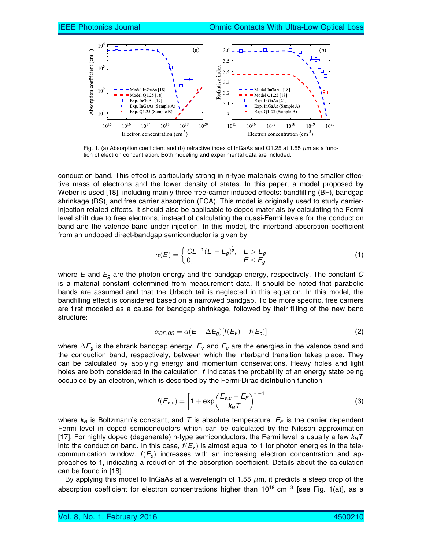

Fig. 1. (a) Absorption coefficient and (b) refractive index of InGaAs and Q1.25 at 1.55  $\mu$ m as a function of electron concentration. Both modeling and experimental data are included.

conduction band. This effect is particularly strong in n-type materials owing to the smaller effective mass of electrons and the lower density of states. In this paper, a model proposed by Weber is used [18], including mainly three free-carrier induced effects: bandfilling (BF), bandgap shrinkage (BS), and free carrier absorption (FCA). This model is originally used to study carrierinjection related effects. It should also be applicable to doped materials by calculating the Fermi level shift due to free electrons, instead of calculating the quasi-Fermi levels for the conduction band and the valence band under injection. In this model, the interband absorption coefficient from an undoped direct-bandgap semiconductor is given by

$$
\alpha(E) = \begin{cases} CE^{-1}(E - E_g)^{\frac{1}{2}}, & E > E_g \\ 0, & E < E_g \end{cases}
$$
 (1)

where E and  $E<sub>g</sub>$  are the photon energy and the bandgap energy, respectively. The constant C is a material constant determined from measurement data. It should be noted that parabolic bands are assumed and that the Urbach tail is neglected in this equation. In this model, the bandfilling effect is considered based on a narrowed bandgap. To be more specific, free carriers are first modeled as a cause for bandgap shrinkage, followed by their filling of the new band structure:

$$
\alpha_{BF,BS} = \alpha (E - \Delta E_g)[f(E_v) - f(E_c)] \tag{2}
$$

where  $\Delta E_g$  is the shrank bandgap energy.  $E_v$  and  $E_c$  are the energies in the valence band and the conduction band, respectively, between which the interband transition takes place. They can be calculated by applying energy and momentum conservations. Heavy holes and light holes are both considered in the calculation. f indicates the probability of an energy state being occupied by an electron, which is described by the Fermi-Dirac distribution function

$$
f(E_{v,c}) = \left[1 + \exp\left(\frac{E_{v,c} - E_F}{k_B T}\right)\right]^{-1}
$$
 (3)

where  $k_B$  is Boltzmann's constant, and T is absolute temperature.  $E_F$  is the carrier dependent Fermi level in doped semiconductors which can be calculated by the Nilsson approximation [17]. For highly doped (degenerate) n-type semiconductors, the Fermi level is usually a few  $k_BT$ into the conduction band. In this case,  $f(E_v)$  is almost equal to 1 for photon energies in the telecommunication window.  $f(E_c)$  increases with an increasing electron concentration and approaches to 1, indicating a reduction of the absorption coefficient. Details about the calculation can be found in [18].

By applying this model to InGaAs at a wavelength of 1.55  $\mu$ m, it predicts a steep drop of the absorption coefficient for electron concentrations higher than  $10^{18}$  cm<sup>-3</sup> [see Fig. 1(a)], as a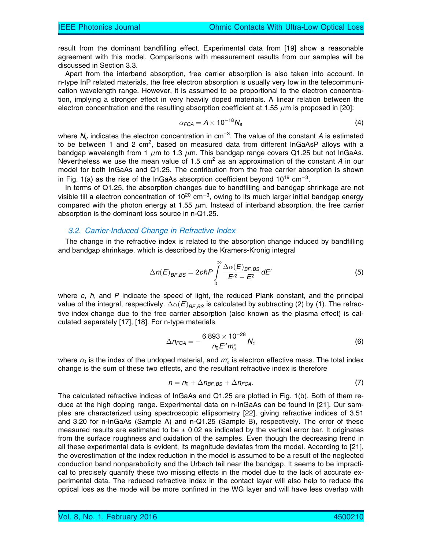result from the dominant bandfilling effect. Experimental data from [19] show a reasonable agreement with this model. Comparisons with measurement results from our samples will be discussed in Section 3.3.

Apart from the interband absorption, free carrier absorption is also taken into account. In n-type InP related materials, the free electron absorption is usually very low in the telecommunication wavelength range. However, it is assumed to be proportional to the electron concentration, implying a stronger effect in very heavily doped materials. A linear relation between the electron concentration and the resulting absorption coefficient at 1.55  $\mu$ m is proposed in [20]:

$$
\alpha_{FCA} = A \times 10^{-18} N_e \tag{4}
$$

where  $N_e$  indicates the electron concentration in cm<sup>-3</sup>. The value of the constant A is estimated to be between 1 and 2  $cm<sup>2</sup>$ , based on measured data from different InGaAsP alloys with a bandgap wavelength from 1  $\mu$ m to 1.3  $\mu$ m. This bandgap range covers Q1.25 but not InGaAs. Nevertheless we use the mean value of 1.5  $\text{cm}^2$  as an approximation of the constant A in our model for both InGaAs and Q1.25. The contribution from the free carrier absorption is shown in Fig. 1(a) as the rise of the InGaAs absorption coefficient beyond  $10^{19}$  cm<sup>-3</sup>.

In terms of Q1.25, the absorption changes due to bandfilling and bandgap shrinkage are not visible till a electron concentration of  $10^{20}$  cm<sup>-3</sup>, owing to its much larger initial bandgap energy compared with the photon energy at 1.55  $\mu$ m. Instead of interband absorption, the free carrier absorption is the dominant loss source in n-Q1.25.

#### 3.2. Carrier-Induced Change in Refractive Index

The change in the refractive index is related to the absorption change induced by bandfilling and bandgap shrinkage, which is described by the Kramers-Kronig integral

$$
\Delta n(E)_{BF,BS} = 2chP \int_{0}^{\infty} \frac{\Delta \alpha(E)_{BF,BS}}{E'^2 - E^2} dE'
$$
 (5)

where  $c$ ,  $h$ , and  $P$  indicate the speed of light, the reduced Plank constant, and the principal value of the integral, respectively.  $\Delta\alpha(E)_{BE,BS}$  is calculated by subtracting (2) by (1). The refractive index change due to the free carrier absorption (also known as the plasma effect) is calculated separately [17], [18]. For n-type materials

$$
\Delta n_{FCA} = -\frac{6.893 \times 10^{-28}}{n_0 E^2 m_e^*} N_e \tag{6}
$$

where  $n_0$  is the index of the undoped material, and  $m_e^*$  is electron effective mass. The total index change is the sum of these two effects, and the resultant refractive index is therefore

$$
n = n_0 + \Delta n_{BF,BS} + \Delta n_{FCA}.\tag{7}
$$

The calculated refractive indices of InGaAs and Q1.25 are plotted in Fig. 1(b). Both of them reduce at the high doping range. Experimental data on n-InGaAs can be found in [21]. Our samples are characterized using spectroscopic ellipsometry [22], giving refractive indices of 3.51 and 3.20 for n-InGaAs (Sample A) and n-Q1.25 (Sample B), respectively. The error of these measured results are estimated to be  $\pm$  0.02 as indicated by the vertical error bar. It originates from the surface roughness and oxidation of the samples. Even though the decreasing trend in all these experimental data is evident, its magnitude deviates from the model. According to [21], the overestimation of the index reduction in the model is assumed to be a result of the neglected conduction band nonparabolicity and the Urbach tail near the bandgap. It seems to be impractical to precisely quantify these two missing effects in the model due to the lack of accurate experimental data. The reduced refractive index in the contact layer will also help to reduce the optical loss as the mode will be more confined in the WG layer and will have less overlap with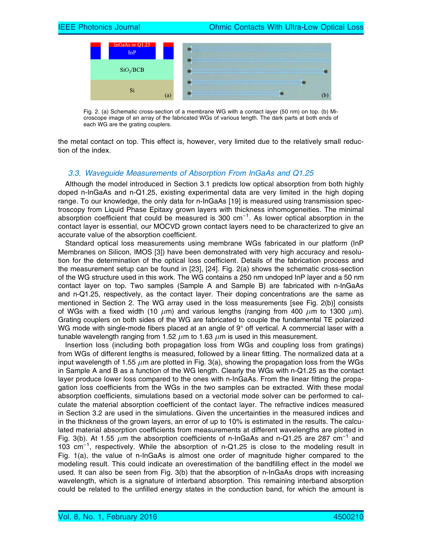

Fig. 2. (a) Schematic cross-section of a membrane WG with a contact layer (50 nm) on top. (b) Microscope image of an array of the fabricated WGs of various length. The dark parts at both ends of each WG are the grating couplers.

the metal contact on top. This effect is, however, very limited due to the relatively small reduction of the index.

#### 3.3. Waveguide Measurements of Absorption From InGaAs and Q1.25

Although the model introduced in Section 3.1 predicts low optical absorption from both highly doped n-InGaAs and n-Q1.25, existing experimental data are very limited in the high doping range. To our knowledge, the only data for n-InGaAs [19] is measured using transmission spectroscopy from Liquid Phase Epitaxy grown layers with thickness inhomogeneities. The minimal absorption coefficient that could be measured is 300 cm<sup>-1</sup>. As lower optical absorption in the contact layer is essential, our MOCVD grown contact layers need to be characterized to give an accurate value of the absorption coefficient.

Standard optical loss measurements using membrane WGs fabricated in our platform (InP Membranes on Silicon, IMOS [3]) have been demonstrated with very high accuracy and resolution for the determination of the optical loss coefficient. Details of the fabrication process and the measurement setup can be found in [23], [24]. Fig. 2(a) shows the schematic cross-section of the WG structure used in this work. The WG contains a 250 nm undoped InP layer and a 50 nm contact layer on top. Two samples (Sample A and Sample B) are fabricated with n-InGaAs and n-Q1.25, respectively, as the contact layer. Their doping concentrations are the same as mentioned in Section 2. The WG array used in the loss measurements [see Fig. 2(b)] consists of WGs with a fixed width (10  $\mu$ m) and various lengths (ranging from 400  $\mu$ m to 1300  $\mu$ m). Grating couplers on both sides of the WG are fabricated to couple the fundamental TE polarized WG mode with single-mode fibers placed at an angle of 9° off vertical. A commercial laser with a tunable wavelength ranging from 1.52  $\mu$ m to 1.63  $\mu$ m is used in this measurement.

Insertion loss (including both propagation loss from WGs and coupling loss from gratings) from WGs of different lengths is measured, followed by a linear fitting. The normalized data at a input wavelength of 1.55  $\mu$ m are plotted in Fig. 3(a), showing the propagation loss from the WGs in Sample A and B as a function of the WG length. Clearly the WGs with n-Q1.25 as the contact layer produce lower loss compared to the ones with n-InGaAs. From the linear fitting the propagation loss coefficients from the WGs in the two samples can be extracted. With these modal absorption coefficients, simulations based on a vectorial mode solver can be performed to calculate the material absorption coefficient of the contact layer. The refractive indices measured in Section 3.2 are used in the simulations. Given the uncertainties in the measured indices and in the thickness of the grown layers, an error of up to 10% is estimated in the results. The calculated material absorption coefficients from measurements at different wavelengths are plotted in Fig. 3(b). At 1.55  $\mu$ m the absorption coefficients of n-InGaAs and n-Q1.25 are 287 cm<sup>-1</sup> and 103 cm−<sup>1</sup> , respectively. While the absorption of n-Q1.25 is close to the modeling result in Fig. 1(a), the value of n-InGaAs is almost one order of magnitude higher compared to the modeling result. This could indicate an overestimation of the bandfilling effect in the model we used. It can also be seen from Fig. 3(b) that the absorption of n-InGaAs drops with increasing wavelength, which is a signature of interband absorption. This remaining interband absorption could be related to the unfilled energy states in the conduction band, for which the amount is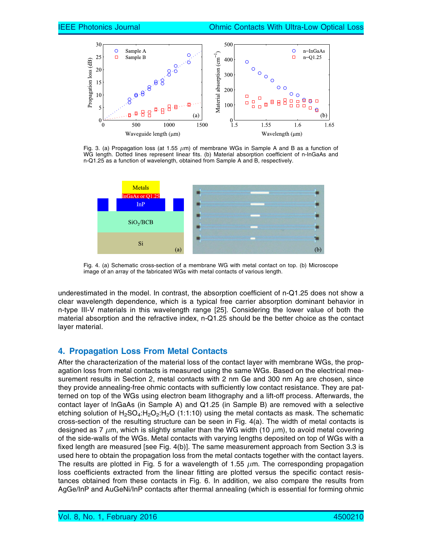

Fig. 3. (a) Propagation loss (at 1.55  $\mu$ m) of membrane WGs in Sample A and B as a function of WG length. Dotted lines represent linear fits. (b) Material absorption coefficient of n-InGaAs and n-Q1.25 as a function of wavelength, obtained from Sample A and B, respectively.



Fig. 4. (a) Schematic cross-section of a membrane WG with metal contact on top. (b) Microscope image of an array of the fabricated WGs with metal contacts of various length.

underestimated in the model. In contrast, the absorption coefficient of n-Q1.25 does not show a clear wavelength dependence, which is a typical free carrier absorption dominant behavior in n-type III-V materials in this wavelength range [25]. Considering the lower value of both the material absorption and the refractive index, n-Q1.25 should be the better choice as the contact layer material.

#### 4. Propagation Loss From Metal Contacts

After the characterization of the material loss of the contact layer with membrane WGs, the propagation loss from metal contacts is measured using the same WGs. Based on the electrical measurement results in Section 2, metal contacts with 2 nm Ge and 300 nm Ag are chosen, since they provide annealing-free ohmic contacts with sufficiently low contact resistance. They are patterned on top of the WGs using electron beam lithography and a lift-off process. Afterwards, the contact layer of InGaAs (in Sample A) and Q1.25 (in Sample B) are removed with a selective etching solution of  $H_2SO_4:H_2O_2:H_2O$  (1:1:10) using the metal contacts as mask. The schematic cross-section of the resulting structure can be seen in Fig. 4(a). The width of metal contacts is designed as 7  $\mu$ m, which is slightly smaller than the WG width (10  $\mu$ m), to avoid metal covering of the side-walls of the WGs. Metal contacts with varying lengths deposited on top of WGs with a fixed length are measured [see Fig. 4(b)]. The same measurement approach from Section 3.3 is used here to obtain the propagation loss from the metal contacts together with the contact layers. The results are plotted in Fig. 5 for a wavelength of 1.55  $\mu$ m. The corresponding propagation loss coefficients extracted from the linear fitting are plotted versus the specific contact resistances obtained from these contacts in Fig. 6. In addition, we also compare the results from AgGe/InP and AuGeNi/InP contacts after thermal annealing (which is essential for forming ohmic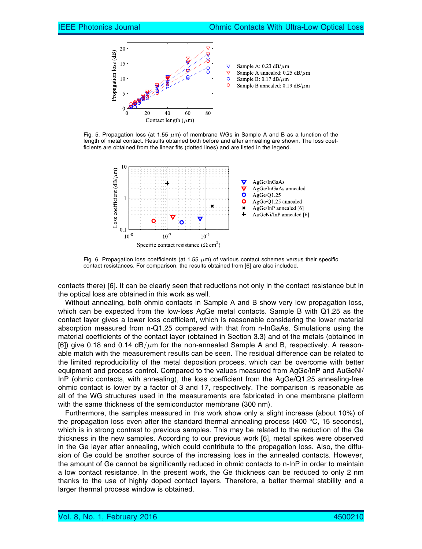

Fig. 5. Propagation loss (at 1.55  $\mu$ m) of membrane WGs in Sample A and B as a function of the length of metal contact. Results obtained both before and after annealing are shown. The loss coefficients are obtained from the linear fits (dotted lines) and are listed in the legend.



Fig. 6. Propagation loss coefficients (at 1.55  $\mu$ m) of various contact schemes versus their specific contact resistances. For comparison, the results obtained from [6] are also included.

contacts there) [6]. It can be clearly seen that reductions not only in the contact resistance but in the optical loss are obtained in this work as well.

Without annealing, both ohmic contacts in Sample A and B show very low propagation loss, which can be expected from the low-loss AgGe metal contacts. Sample B with Q1.25 as the contact layer gives a lower loss coefficient, which is reasonable considering the lower material absorption measured from n-Q1.25 compared with that from n-InGaAs. Simulations using the material coefficients of the contact layer (obtained in Section 3.3) and of the metals (obtained in [6]) give 0.18 and 0.14  $dB/\mu$ m for the non-annealed Sample A and B, respectively. A reasonable match with the measurement results can be seen. The residual difference can be related to the limited reproducibility of the metal deposition process, which can be overcome with better equipment and process control. Compared to the values measured from AgGe/InP and AuGeNi/ InP (ohmic contacts, with annealing), the loss coefficient from the AgGe/Q1.25 annealing-free ohmic contact is lower by a factor of 3 and 17, respectively. The comparison is reasonable as all of the WG structures used in the measurements are fabricated in one membrane platform with the same thickness of the semiconductor membrane (300 nm).

Furthermore, the samples measured in this work show only a slight increase (about 10%) of the propagation loss even after the standard thermal annealing process  $(400 \degree C, 15$  seconds), which is in strong contrast to previous samples. This may be related to the reduction of the Ge thickness in the new samples. According to our previous work [6], metal spikes were observed in the Ge layer after annealing, which could contribute to the propagation loss. Also, the diffusion of Ge could be another source of the increasing loss in the annealed contacts. However, the amount of Ge cannot be significantly reduced in ohmic contacts to n-InP in order to maintain a low contact resistance. In the present work, the Ge thickness can be reduced to only 2 nm thanks to the use of highly doped contact layers. Therefore, a better thermal stability and a larger thermal process window is obtained.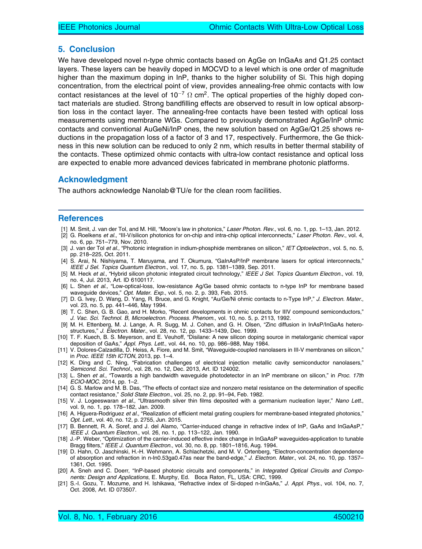#### 5. Conclusion

We have developed novel n-type ohmic contacts based on AgGe on InGaAs and Q1.25 contact layers. These layers can be heavily doped in MOCVD to a level which is one order of magnitude higher than the maximum doping in InP, thanks to the higher solubility of Si. This high doping concentration, from the electrical point of view, provides annealing-free ohmic contacts with low contact resistances at the level of  $10^{-7}$   $\Omega$  cm<sup>2</sup>. The optical properties of the highly doped contact materials are studied. Strong bandfilling effects are observed to result in low optical absorption loss in the contact layer. The annealing-free contacts have been tested with optical loss measurements using membrane WGs. Compared to previously demonstrated AgGe/InP ohmic contacts and conventional AuGeNi/InP ones, the new solution based on AgGe/Q1.25 shows reductions in the propagation loss of a factor of 3 and 17, respectively. Furthermore, the Ge thickness in this new solution can be reduced to only 2 nm, which results in better thermal stability of the contacts. These optimized ohmic contacts with ultra-low contact resistance and optical loss are expected to enable more advanced devices fabricated in membrane photonic platforms.

#### Acknowledgment

The authors acknowledge Nanolab@TU/e for the clean room facilities.

#### **References**

- [1] M. Smit, J. van der Tol, and M. Hill, "Moore's law in photonics," Laser Photon. Rev., vol. 6, no. 1, pp. 1–13, Jan. 2012.
- [2] G. Roelkens et al., "III-V/silicon photonics for on-chip and intra-chip optical interconnects," Laser Photon. Rev., vol. 4, no. 6, pp. 751–779, Nov. 2010.
- [3] J. van der Tol et al., "Photonic integration in indium-phosphide membranes on silicon," IET Optoelectron., vol. 5, no. 5, pp. 218–225, Oct. 2011.
- [4] S. Arai, N. Nishiyama, T. Maruyama, and T. Okumura, "GaInAsP/InP membrane lasers for optical interconnects," IEEE J Sel. Topics Quantum Electron., vol. 17, no. 5, pp. 1381-1389, Sep. 2011.
- [5] M. Heck et al., "Hybrid silicon photonic integrated circuit technology," IEEE J Sel. Topics Quantum Electron., vol. 19, no. 4, Jul. 2013, Art. ID 6100117.
- [6] L. Shen et al., "Low-optical-loss, low-resistance Ag/Ge based ohmic contacts to n-type InP for membrane based waveguide devices," Opt. Mater. Exp., vol. 5, no. 2, p. 393, Feb. 2015.
- [7] D. G. Ivey, D. Wang, D. Yang, R. Bruce, and G. Knight, "Au/Ge/Ni ohmic contacts to n-Type InP," J. Electron. Mater., vol. 23, no. 5, pp. 441–446, May 1994.
- [8] T. C. Shen, G. B. Gao, and H. Morko, "Recent developments in ohmic contacts for IIIV compound semiconductors," J. Vac. Sci. Technol. B, Microelectron. Process. Phenom., vol. 10, no. 5, p. 2113, 1992.
- [9] M. H. Ettenberg, M. J. Lange, A. R. Sugg, M. J. Cohen, and G. H. Olsen, "Zinc diffusion in InAsP/InGaAs heterostructures," J. Electron. Mater., vol. 28, no. 12, pp. 1433–1439, Dec. 1999.
- [10] T. F. Kuech, B. S. Meyerson, and E. Veuhoff, "Disilane: A new silicon doping source in metalorganic chemical vapor deposition of GaAs," Appl. Phys. Lett., vol. 44, no. 10, pp. 986–988, May 1984.
- [11] V. Dolores-Calzadilla, D. Heiss, A. Fiore, and M. Smit, "Waveguide-coupled nanolasers in III-V membranes on silicon," in Proc. IEEE 15th ICTON, 2013, pp. 1–4.
- [12] K. Ding and C. Ning, "Fabrication challenges of electrical injection metallic cavity semiconductor nanolasers," Semicond. Sci. Technol., vol. 28, no. 12, Dec. 2013, Art. ID 124002.
- [13] L. Shen et al., "Towards a high bandwidth waveguide photodetector in an InP membrane on silicon," in Proc. 17th ECIO-MOC, 2014, pp. 1–2.
- [14] G. S. Marlow and M. B. Das, "The effects of contact size and nonzero metal resistance on the determination of specific contact resistance," Solid State Electron., vol. 25, no. 2, pp. 91-94, Feb. 1982.
- [15] V. J. Logeeswaran et al., "Ultrasmooth silver thin films deposited with a germanium nucleation layer," Nano Lett., vol. 9, no. 1, pp. 178–182, Jan. 2009.
- [16] A. Higuera-Rodriguez et al., "Realization of efficient metal grating couplers for membrane-based integrated photonics," Opt. Lett., vol. 40, no. 12, p. 2755, Jun. 2015.
- [17] B. Bennett, R. A. Soref, and J. del Alamo, "Carrier-induced change in refractive index of InP, GaAs and InGaAsP," IEEE J. Quantum Electron., vol. 26, no. 1, pp. 113–122, Jan. 1990.
- [18] J.-P. Weber, "Optimization of the carrier-induced effective index change in InGaAsP waveguides-application to tunable Bragg filters," IEEE J. Quantum Electron., vol. 30, no. 8, pp. 1801-1816, Aug. 1994.
- [19] D. Hahn, O. Jaschinski, H.-H. Wehmann, A. Schlachetzki, and M. V. Ortenberg, "Electron-concentration dependence of absorption and refraction in n-In0.53ga0.47as near the band-edge," J. Electron. Mater., vol. 24, no. 10, pp. 1357-1361, Oct. 1995.
- [20] A. Sneh and C. Doerr, "InP-based photonic circuits and components," in Integrated Optical Circuits and Components: Design and Applications, E. Murphy, Ed. Boca Raton, FL, USA: CRC, 1999.
- [21] S.-I. Gozu, T. Mozume, and H. Ishikawa, "Refractive index of Si-doped n-InGaAs," J. Appl. Phys., vol. 104, no. 7, Oct. 2008, Art. ID 073507.